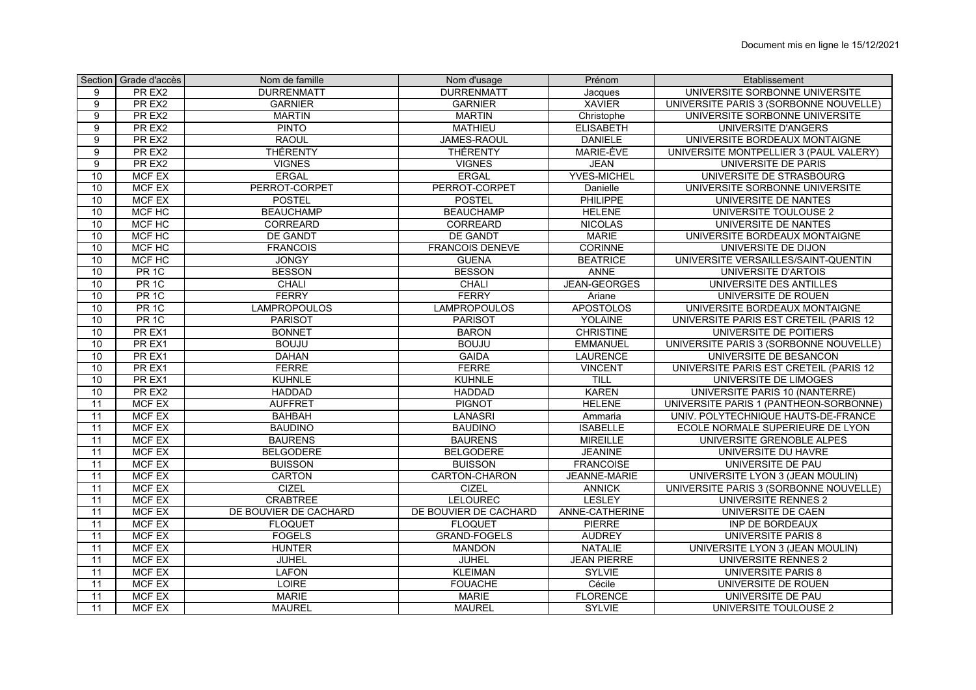|                 | Section Grade d'accès | Nom de famille        | Nom d'usage            | Prénom              | Etablissement                          |
|-----------------|-----------------------|-----------------------|------------------------|---------------------|----------------------------------------|
| 9               | PR EX2                | <b>DURRENMATT</b>     | <b>DURRENMATT</b>      | Jacques             | UNIVERSITE SORBONNE UNIVERSITE         |
| 9               | PR EX2                | <b>GARNIER</b>        | <b>GARNIER</b>         | <b>XAVIER</b>       | UNIVERSITE PARIS 3 (SORBONNE NOUVELLE) |
| $\overline{9}$  | PR EX2                | <b>MARTIN</b>         | <b>MARTIN</b>          | Christophe          | UNIVERSITE SORBONNE UNIVERSITE         |
| 9               | PR EX2                | <b>PINTO</b>          | <b>MATHIEU</b>         | <b>ELISABETH</b>    | UNIVERSITE D'ANGERS                    |
| 9               | PR EX2                | <b>RAOUL</b>          | JAMES-RAOUL            | <b>DANIELE</b>      | UNIVERSITE BORDEAUX MONTAIGNE          |
| $\overline{9}$  | PR EX2                | <b>THÉRENTY</b>       | <b>THÉRENTY</b>        | MARIE-ÈVE           | UNIVERSITE MONTPELLIER 3 (PAUL VALERY) |
| 9               | PR EX2                | <b>VIGNES</b>         | <b>VIGNES</b>          | <b>JEAN</b>         | UNIVERSITE DE PARIS                    |
| 10              | <b>MCF EX</b>         | <b>ERGAL</b>          | <b>ERGAL</b>           | <b>YVES-MICHEL</b>  | UNIVERSITE DE STRASBOURG               |
| 10              | <b>MCF EX</b>         | PERROT-CORPET         | PERROT-CORPET          | Danielle            | UNIVERSITE SORBONNE UNIVERSITE         |
| 10              | <b>MCF EX</b>         | <b>POSTEL</b>         | <b>POSTEL</b>          | <b>PHILIPPE</b>     | UNIVERSITE DE NANTES                   |
| 10              | MCF HC                | <b>BEAUCHAMP</b>      | <b>BEAUCHAMP</b>       | <b>HELENE</b>       | UNIVERSITE TOULOUSE 2                  |
| 10              | MCF HC                | <b>CORREARD</b>       | <b>CORREARD</b>        | <b>NICOLAS</b>      | UNIVERSITE DE NANTES                   |
| 10              | MCF HC                | <b>DE GANDT</b>       | <b>DE GANDT</b>        | <b>MARIE</b>        | UNIVERSITE BORDEAUX MONTAIGNE          |
| 10              | MCF HC                | <b>FRANCOIS</b>       | <b>FRANCOIS DENEVE</b> | <b>CORINNE</b>      | UNIVERSITE DE DIJON                    |
| 10              | MCF HC                | <b>JONGY</b>          | <b>GUENA</b>           | <b>BEATRICE</b>     | UNIVERSITE VERSAILLES/SAINT-QUENTIN    |
| 10              | PR <sub>1C</sub>      | <b>BESSON</b>         | <b>BESSON</b>          | ANNE                | UNIVERSITE D'ARTOIS                    |
| 10              | PR <sub>1C</sub>      | <b>CHALI</b>          | CHALI                  | <b>JEAN-GEORGES</b> | UNIVERSITE DES ANTILLES                |
| 10              | PR <sub>1C</sub>      | <b>FERRY</b>          | <b>FERRY</b>           | Ariane              | UNIVERSITE DE ROUEN                    |
| 10              | PR <sub>1C</sub>      | <b>LAMPROPOULOS</b>   | <b>LAMPROPOULOS</b>    | <b>APOSTOLOS</b>    | UNIVERSITE BORDEAUX MONTAIGNE          |
| 10              | PR <sub>1C</sub>      | <b>PARISOT</b>        | <b>PARISOT</b>         | <b>YOLAINE</b>      | UNIVERSITE PARIS EST CRETEIL (PARIS 12 |
| 10              | PR EX1                | <b>BONNET</b>         | <b>BARON</b>           | <b>CHRISTINE</b>    | UNIVERSITE DE POITIERS                 |
| 10              | PR EX1                | <b>BOUJU</b>          | <b>BOUJU</b>           | <b>EMMANUEL</b>     | UNIVERSITE PARIS 3 (SORBONNE NOUVELLE) |
| 10              | PR EX1                | <b>DAHAN</b>          | <b>GAIDA</b>           | <b>LAURENCE</b>     | UNIVERSITE DE BESANCON                 |
| 10              | PR EX1                | <b>FERRE</b>          | <b>FERRE</b>           | <b>VINCENT</b>      | UNIVERSITE PARIS EST CRETEIL (PARIS 12 |
| 10 <sup>1</sup> | PR EX1                | <b>KUHNLE</b>         | <b>KUHNLE</b>          | TILL                | UNIVERSITE DE LIMOGES                  |
| 10              | PR EX2                | <b>HADDAD</b>         | <b>HADDAD</b>          | <b>KAREN</b>        | UNIVERSITE PARIS 10 (NANTERRE)         |
| 11              | <b>MCF EX</b>         | <b>AUFFRET</b>        | <b>PIGNOT</b>          | <b>HELENE</b>       | UNIVERSITE PARIS 1 (PANTHEON-SORBONNE) |
| 11              | <b>MCF EX</b>         | <b>BAHBAH</b>         | LANASRI                | Ammaria             | UNIV. POLYTECHNIQUE HAUTS-DE-FRANCE    |
| $\overline{11}$ | <b>MCF EX</b>         | <b>BAUDINO</b>        | <b>BAUDINO</b>         | <b>ISABELLE</b>     | ECOLE NORMALE SUPERIEURE DE LYON       |
| 11              | <b>MCF EX</b>         | <b>BAURENS</b>        | <b>BAURENS</b>         | <b>MIREILLE</b>     | UNIVERSITE GRENOBLE ALPES              |
| 11              | <b>MCF EX</b>         | <b>BELGODERE</b>      | <b>BELGODERE</b>       | <b>JEANINE</b>      | UNIVERSITE DU HAVRE                    |
| 11              | <b>MCF EX</b>         | <b>BUISSON</b>        | <b>BUISSON</b>         | <b>FRANCOISE</b>    | <b>UNIVERSITE DE PAU</b>               |
| 11              | <b>MCF EX</b>         | <b>CARTON</b>         | <b>CARTON-CHARON</b>   | JEANNE-MARIE        | UNIVERSITE LYON 3 (JEAN MOULIN)        |
| 11              | <b>MCF EX</b>         | <b>CIZEL</b>          | <b>CIZEL</b>           | <b>ANNICK</b>       | UNIVERSITE PARIS 3 (SORBONNE NOUVELLE) |
| 11              | <b>MCF EX</b>         | <b>CRABTREE</b>       | <b>LELOUREC</b>        | <b>LESLEY</b>       | <b>UNIVERSITE RENNES 2</b>             |
| 11              | <b>MCF EX</b>         | DE BOUVIER DE CACHARD | DE BOUVIER DE CACHARD  | ANNE-CATHERINE      | UNIVERSITE DE CAEN                     |
| $\overline{11}$ | <b>MCF EX</b>         | <b>FLOQUET</b>        | <b>FLOQUET</b>         | <b>PIERRE</b>       | <b>INP DE BORDEAUX</b>                 |
| 11              | <b>MCF EX</b>         | <b>FOGELS</b>         | <b>GRAND-FOGELS</b>    | <b>AUDREY</b>       | <b>UNIVERSITE PARIS 8</b>              |
| 11              | MCF EX                | <b>HUNTER</b>         | <b>MANDON</b>          | <b>NATALIE</b>      | UNIVERSITE LYON 3 (JEAN MOULIN)        |
| 11              | <b>MCF EX</b>         | <b>JUHEL</b>          | <b>JUHEL</b>           | <b>JEAN PIERRE</b>  | UNIVERSITE RENNES 2                    |
| 11              | <b>MCF EX</b>         | <b>LAFON</b>          | <b>KLEIMAN</b>         | <b>SYLVIE</b>       | <b>UNIVERSITE PARIS 8</b>              |
| 11              | <b>MCF EX</b>         | <b>LOIRE</b>          | <b>FOUACHE</b>         | Cécile              | UNIVERSITE DE ROUEN                    |
| 11              | <b>MCF EX</b>         | <b>MARIE</b>          | <b>MARIE</b>           | <b>FLORENCE</b>     | UNIVERSITE DE PAU                      |
| 11              | <b>MCF EX</b>         | <b>MAUREL</b>         | <b>MAUREL</b>          | SYLVIE              | UNIVERSITE TOULOUSE 2                  |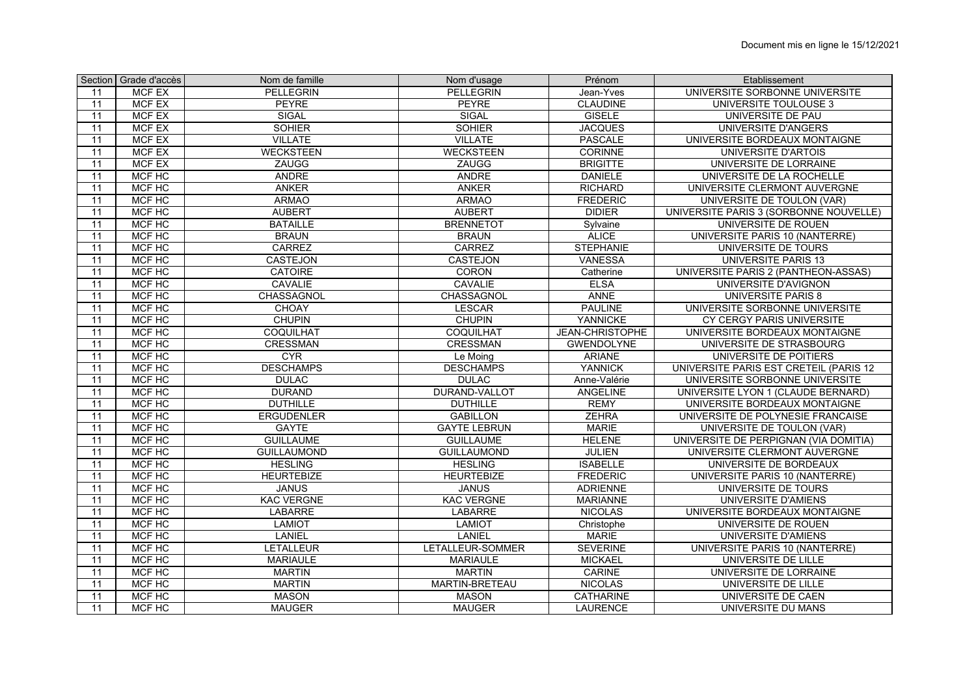|                 | Section   Grade d'accès | Nom de famille     | Nom d'usage          | Prénom                 | Etablissement                          |
|-----------------|-------------------------|--------------------|----------------------|------------------------|----------------------------------------|
| 11              | MCF EX                  | PELLEGRIN          | PELLEGRIN            | Jean-Yves              | UNIVERSITE SORBONNE UNIVERSITE         |
| 11              | <b>MCF EX</b>           | PEYRE              | <b>PEYRE</b>         | <b>CLAUDINE</b>        | UNIVERSITE TOULOUSE 3                  |
| 11              | <b>MCF EX</b>           | <b>SIGAL</b>       | SIGAL                | <b>GISELE</b>          | UNIVERSITE DE PAU                      |
| 11              | <b>MCF EX</b>           | <b>SOHIER</b>      | <b>SOHIER</b>        | <b>JACQUES</b>         | <b>UNIVERSITE D'ANGERS</b>             |
| 11              | <b>MCF EX</b>           | <b>VILLATE</b>     | <b>VILLATE</b>       | <b>PASCALE</b>         | UNIVERSITE BORDEAUX MONTAIGNE          |
| 11              | <b>MCF EX</b>           | <b>WECKSTEEN</b>   | <b>WECKSTEEN</b>     | <b>CORINNE</b>         | <b>UNIVERSITE D'ARTOIS</b>             |
| 11              | <b>MCF EX</b>           | ZAUGG              | ZAUGG                | <b>BRIGITTE</b>        | UNIVERSITE DE LORRAINE                 |
| 11              | MCF HC                  | <b>ANDRE</b>       | <b>ANDRE</b>         | <b>DANIELE</b>         | UNIVERSITE DE LA ROCHELLE              |
| 11              | <b>MCF HC</b>           | <b>ANKER</b>       | <b>ANKER</b>         | <b>RICHARD</b>         | UNIVERSITE CLERMONT AUVERGNE           |
| 11              | MCF HC                  | <b>ARMAO</b>       | <b>ARMAO</b>         | <b>FREDERIC</b>        | UNIVERSITE DE TOULON (VAR)             |
| 11              | MCF HC                  | <b>AUBERT</b>      | <b>AUBERT</b>        | <b>DIDIER</b>          | UNIVERSITE PARIS 3 (SORBONNE NOUVELLE) |
| 11              | MCF HC                  | <b>BATAILLE</b>    | <b>BRENNETOT</b>     | Sylvaine               | UNIVERSITE DE ROUEN                    |
| $\overline{11}$ | MCF HC                  | <b>BRAUN</b>       | <b>BRAUN</b>         | <b>ALICE</b>           | UNIVERSITE PARIS 10 (NANTERRE)         |
| 11              | MCF HC                  | <b>CARREZ</b>      | <b>CARREZ</b>        | <b>STEPHANIE</b>       | UNIVERSITE DE TOURS                    |
| 11              | MCF HC                  | <b>CASTEJON</b>    | <b>CASTEJON</b>      | <b>VANESSA</b>         | UNIVERSITE PARIS 13                    |
| 11              | MCF HC                  | <b>CATOIRE</b>     | CORON                | Catherine              | UNIVERSITE PARIS 2 (PANTHEON-ASSAS)    |
| 11              | MCF HC                  | <b>CAVALIE</b>     | CAVALIE              | <b>ELSA</b>            | UNIVERSITE D'AVIGNON                   |
| 11              | MCF HC                  | CHASSAGNOL         | CHASSAGNOL           | <b>ANNE</b>            | <b>UNIVERSITE PARIS 8</b>              |
| 11              | MCF HC                  | <b>CHOAY</b>       | LESCAR               | <b>PAULINE</b>         | UNIVERSITE SORBONNE UNIVERSITE         |
| 11              | MCF HC                  | <b>CHUPIN</b>      | <b>CHUPIN</b>        | YANNICKE               | CY CERGY PARIS UNIVERSITE              |
| 11              | MCF HC                  | COQUILHAT          | COQUILHAT            | <b>JEAN-CHRISTOPHE</b> | UNIVERSITE BORDEAUX MONTAIGNE          |
| 11              | MCF HC                  | <b>CRESSMAN</b>    | <b>CRESSMAN</b>      | <b>GWENDOLYNE</b>      | UNIVERSITE DE STRASBOURG               |
| 11              | MCF HC                  | <b>CYR</b>         | Le Moing             | <b>ARIANE</b>          | UNIVERSITE DE POITIERS                 |
| 11              | MCF HC                  | <b>DESCHAMPS</b>   | <b>DESCHAMPS</b>     | <b>YANNICK</b>         | UNIVERSITE PARIS EST CRETEIL (PARIS 12 |
| 11              | MCF HC                  | <b>DULAC</b>       | <b>DULAC</b>         | Anne-Valérie           | UNIVERSITE SORBONNE UNIVERSITE         |
| 11              | MCF HC                  | <b>DURAND</b>      | <b>DURAND-VALLOT</b> | <b>ANGELINE</b>        | UNIVERSITE LYON 1 (CLAUDE BERNARD)     |
| 11              | MCF HC                  | <b>DUTHILLE</b>    | <b>DUTHILLE</b>      | <b>REMY</b>            | UNIVERSITE BORDEAUX MONTAIGNE          |
| 11              | MCF HC                  | <b>ERGUDENLER</b>  | <b>GABILLON</b>      | <b>ZEHRA</b>           | UNIVERSITE DE POLYNESIE FRANCAISE      |
| 11              | MCF HC                  | <b>GAYTE</b>       | <b>GAYTE LEBRUN</b>  | <b>MARIE</b>           | UNIVERSITE DE TOULON (VAR)             |
| 11              | MCF HC                  | <b>GUILLAUME</b>   | <b>GUILLAUME</b>     | <b>HELENE</b>          | UNIVERSITE DE PERPIGNAN (VIA DOMITIA)  |
| 11              | MCF HC                  | <b>GUILLAUMOND</b> | <b>GUILLAUMOND</b>   | <b>JULIEN</b>          | UNIVERSITE CLERMONT AUVERGNE           |
| 11              | MCF HC                  | <b>HESLING</b>     | <b>HESLING</b>       | <b>ISABELLE</b>        | UNIVERSITE DE BORDEAUX                 |
| 11              | MCF HC                  | <b>HEURTEBIZE</b>  | <b>HEURTEBIZE</b>    | <b>FREDERIC</b>        | UNIVERSITE PARIS 10 (NANTERRE)         |
| 11              | MCF HC                  | <b>JANUS</b>       | <b>JANUS</b>         | <b>ADRIENNE</b>        | UNIVERSITE DE TOURS                    |
| 11              | MCF HC                  | <b>KAC VERGNE</b>  | <b>KAC VERGNE</b>    | <b>MARIANNE</b>        | <b>UNIVERSITE D'AMIENS</b>             |
| 11              | MCF HC                  | <b>LABARRE</b>     | <b>LABARRE</b>       | <b>NICOLAS</b>         | UNIVERSITE BORDEAUX MONTAIGNE          |
| $\overline{11}$ | MCF HC                  | <b>LAMIOT</b>      | <b>LAMIOT</b>        | Christophe             | UNIVERSITE DE ROUEN                    |
| 11              | <b>MCF HC</b>           | LANIEL             | <b>LANIEL</b>        | <b>MARIE</b>           | UNIVERSITE D'AMIENS                    |
| 11              | MCF HC                  | <b>LETALLEUR</b>   | LETALLEUR-SOMMER     | <b>SEVERINE</b>        | UNIVERSITE PARIS 10 (NANTERRE)         |
| 11              | MCF HC                  | <b>MARIAULE</b>    | <b>MARIAULE</b>      | <b>MICKAEL</b>         | UNIVERSITE DE LILLE                    |
| 11              | <b>MCF HC</b>           | <b>MARTIN</b>      | <b>MARTIN</b>        | <b>CARINE</b>          | UNIVERSITE DE LORRAINE                 |
| 11              | MCF HC                  | <b>MARTIN</b>      | MARTIN-BRETEAU       | <b>NICOLAS</b>         | UNIVERSITE DE LILLE                    |
| 11              | MCF HC                  | <b>MASON</b>       | <b>MASON</b>         | <b>CATHARINE</b>       | UNIVERSITE DE CAEN                     |
| 11              | MCF HC                  | <b>MAUGER</b>      | <b>MAUGER</b>        | <b>LAURENCE</b>        | UNIVERSITE DU MANS                     |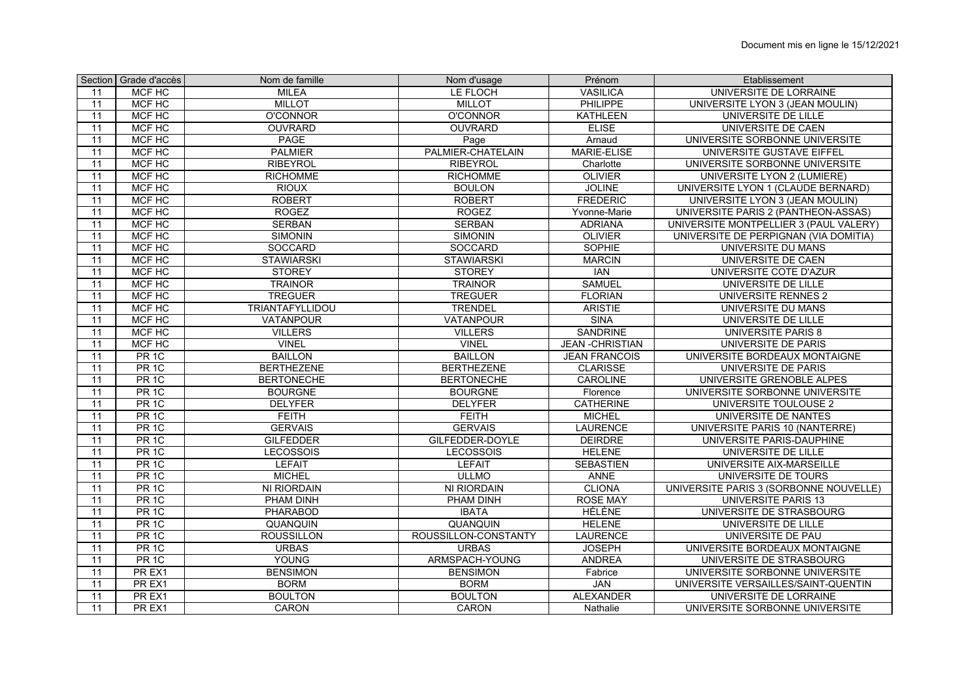|                 | Section Grade d'accès | Nom de famille     | Nom d'usage          | Prénom                 | Etablissement                          |
|-----------------|-----------------------|--------------------|----------------------|------------------------|----------------------------------------|
| 11              | MCF HC                | <b>MILEA</b>       | LE FLOCH             | <b>VASILICA</b>        | UNIVERSITE DE LORRAINE                 |
| 11              | MCF HC                | <b>MILLOT</b>      | <b>MILLOT</b>        | <b>PHILIPPE</b>        | UNIVERSITE LYON 3 (JEAN MOULIN)        |
| 11              | <b>MCF HC</b>         | <b>O'CONNOR</b>    | <b>O'CONNOR</b>      | <b>KATHLEEN</b>        | UNIVERSITE DE LILLE                    |
| 11              | MCF HC                | <b>OUVRARD</b>     | <b>OUVRARD</b>       | <b>ELISE</b>           | UNIVERSITE DE CAEN                     |
| 11              | <b>MCF HC</b>         | <b>PAGE</b>        | Page                 | Arnaud                 | UNIVERSITE SORBONNE UNIVERSITE         |
| 11              | <b>MCF HC</b>         | <b>PALMIER</b>     | PALMIER-CHATELAIN    | <b>MARIE-ELISE</b>     | UNIVERSITE GUSTAVE EIFFEL              |
| 11              | <b>MCF HC</b>         | <b>RIBEYROL</b>    | <b>RIBEYROL</b>      | Charlotte              | UNIVERSITE SORBONNE UNIVERSITE         |
| 11              | <b>MCF HC</b>         | <b>RICHOMME</b>    | <b>RICHOMME</b>      | <b>OLIVIER</b>         | UNIVERSITE LYON 2 (LUMIERE)            |
| 11              | MCF HC                | <b>RIOUX</b>       | <b>BOULON</b>        | <b>JOLINE</b>          | UNIVERSITE LYON 1 (CLAUDE BERNARD)     |
| 11              | <b>MCF HC</b>         | <b>ROBERT</b>      | <b>ROBERT</b>        | <b>FREDERIC</b>        | UNIVERSITE LYON 3 (JEAN MOULIN)        |
| 11              | MCF HC                | <b>ROGEZ</b>       | <b>ROGEZ</b>         | Yvonne-Marie           | UNIVERSITE PARIS 2 (PANTHEON-ASSAS)    |
| 11              | MCF HC                | <b>SERBAN</b>      | <b>SERBAN</b>        | <b>ADRIANA</b>         | UNIVERSITE MONTPELLIER 3 (PAUL VALERY) |
| 11              | MCF HC                | <b>SIMONIN</b>     | <b>SIMONIN</b>       | <b>OLIVIER</b>         | UNIVERSITE DE PERPIGNAN (VIA DOMITIA)  |
| 11              | MCF HC                | <b>SOCCARD</b>     | <b>SOCCARD</b>       | <b>SOPHIE</b>          | <b>UNIVERSITE DU MANS</b>              |
| 11              | MCF HC                | <b>STAWIARSKI</b>  | <b>STAWIARSKI</b>    | <b>MARCIN</b>          | <b>UNIVERSITE DE CAEN</b>              |
| 11              | <b>MCF HC</b>         | <b>STOREY</b>      | <b>STOREY</b>        | <b>IAN</b>             | UNIVERSITE COTE D'AZUR                 |
| 11              | MCF HC                | <b>TRAINOR</b>     | <b>TRAINOR</b>       | <b>SAMUEL</b>          | UNIVERSITE DE LILLE                    |
| 11              | MCF HC                | <b>TREGUER</b>     | <b>TREGUER</b>       | <b>FLORIAN</b>         | <b>UNIVERSITE RENNES 2</b>             |
| 11              | MCF HC                | TRIANTAFYLLIDOU    | <b>TRENDEL</b>       | <b>ARISTIE</b>         | UNIVERSITE DU MANS                     |
| 11              | MCF HC                | <b>VATANPOUR</b>   | <b>VATANPOUR</b>     | <b>SINA</b>            | UNIVERSITE DE LILLE                    |
| 11              | MCF HC                | <b>VILLERS</b>     | <b>VILLERS</b>       | <b>SANDRINE</b>        | <b>UNIVERSITE PARIS 8</b>              |
| 11              | <b>MCF HC</b>         | <b>VINEL</b>       | <b>VINEL</b>         | <b>JEAN -CHRISTIAN</b> | UNIVERSITE DE PARIS                    |
| 11              | PR <sub>1C</sub>      | <b>BAILLON</b>     | <b>BAILLON</b>       | <b>JEAN FRANCOIS</b>   | UNIVERSITE BORDEAUX MONTAIGNE          |
| 11              | PR <sub>1C</sub>      | <b>BERTHEZENE</b>  | <b>BERTHEZENE</b>    | <b>CLARISSE</b>        | UNIVERSITE DE PARIS                    |
| 11              | PR <sub>1C</sub>      | <b>BERTONECHE</b>  | <b>BERTONECHE</b>    | CAROLINE               | UNIVERSITE GRENOBLE ALPES              |
| 11              | PR <sub>1C</sub>      | <b>BOURGNE</b>     | <b>BOURGNE</b>       | Florence               | UNIVERSITE SORBONNE UNIVERSITE         |
| 11              | PR <sub>1C</sub>      | <b>DELYFER</b>     | <b>DELYFER</b>       | <b>CATHERINE</b>       | UNIVERSITE TOULOUSE 2                  |
| 11              | PR <sub>1C</sub>      | <b>FEITH</b>       | <b>FEITH</b>         | <b>MICHEL</b>          | UNIVERSITE DE NANTES                   |
| 11              | PR <sub>1C</sub>      | <b>GERVAIS</b>     | <b>GERVAIS</b>       | <b>LAURENCE</b>        | UNIVERSITE PARIS 10 (NANTERRE)         |
| 11              | PR <sub>1C</sub>      | <b>GILFEDDER</b>   | GILFEDDER-DOYLE      | <b>DEIRDRE</b>         | UNIVERSITE PARIS-DAUPHINE              |
| 11              | PR <sub>1C</sub>      | <b>LECOSSOIS</b>   | LECOSSOIS            | <b>HELENE</b>          | UNIVERSITE DE LILLE                    |
| 11              | PR <sub>1C</sub>      | <b>LEFAIT</b>      | <b>LEFAIT</b>        | <b>SEBASTIEN</b>       | UNIVERSITE AIX-MARSEILLE               |
| 11              | PR <sub>1C</sub>      | <b>MICHEL</b>      | <b>ULLMO</b>         | <b>ANNE</b>            | UNIVERSITE DE TOURS                    |
| $\overline{11}$ | PR <sub>1C</sub>      | <b>NI RIORDAIN</b> | <b>NI RIORDAIN</b>   | <b>CLIONA</b>          | UNIVERSITE PARIS 3 (SORBONNE NOUVELLE) |
| $\overline{11}$ | PR <sub>1C</sub>      | PHAM DINH          | PHAM DINH            | <b>ROSE MAY</b>        | <b>UNIVERSITE PARIS 13</b>             |
| 11              | PR <sub>1C</sub>      | PHARABOD           | <b>IBATA</b>         | <b>HÉLÈNE</b>          | UNIVERSITE DE STRASBOURG               |
| 11              | PR <sub>1C</sub>      | QUANQUIN           | QUANQUIN             | <b>HELENE</b>          | UNIVERSITE DE LILLE                    |
| 11              | PR <sub>1C</sub>      | <b>ROUSSILLON</b>  | ROUSSILLON-CONSTANTY | <b>LAURENCE</b>        | UNIVERSITE DE PAU                      |
| 11              | PR <sub>1C</sub>      | <b>URBAS</b>       | <b>URBAS</b>         | <b>JOSEPH</b>          | UNIVERSITE BORDEAUX MONTAIGNE          |
| $\overline{11}$ | PR <sub>1C</sub>      | YOUNG              | ARMSPACH-YOUNG       | <b>ANDREA</b>          | UNIVERSITE DE STRASBOURG               |
| 11              | PR EX1                | <b>BENSIMON</b>    | <b>BENSIMON</b>      | Fabrice                | UNIVERSITE SORBONNE UNIVERSITE         |
| 11              | PR EX1                | <b>BORM</b>        | <b>BORM</b>          | <b>JAN</b>             | UNIVERSITE VERSAILLES/SAINT-QUENTIN    |
| 11              | PR EX1                | <b>BOULTON</b>     | <b>BOULTON</b>       | <b>ALEXANDER</b>       | UNIVERSITE DE LORRAINE                 |
| 11              | PR EX1                | CARON              | <b>CARON</b>         | Nathalie               | UNIVERSITE SORBONNE UNIVERSITE         |